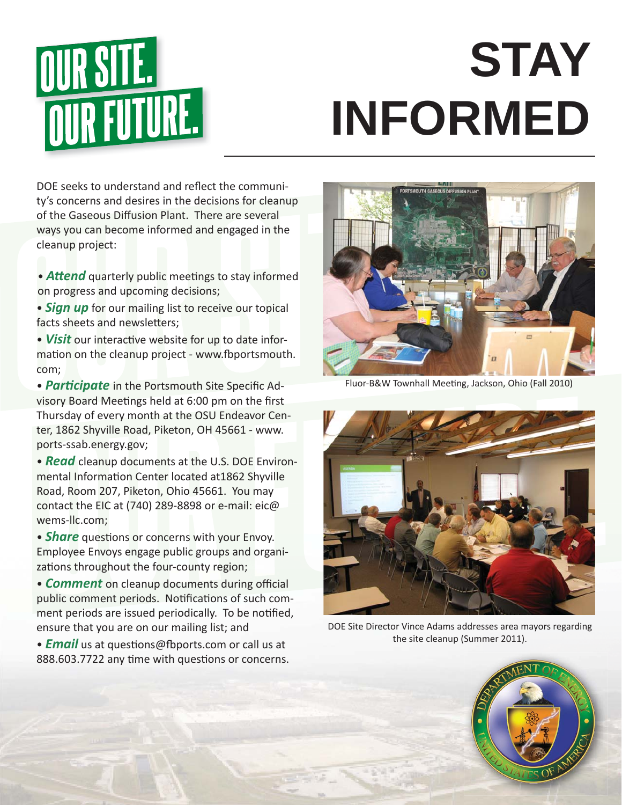

## **STAY INFORMED**

DOE seeks to understand and reflect the community's concerns and desires in the decisions for cleanup of the Gaseous Diffusion Plant. There are several ways you can become informed and engaged in the cleanup project:

- **Attend** quarterly public meetings to stay informed on progress and upcoming decisions;
- *Sign up* for our mailing list to receive our topical facts sheets and newsletters;
- Visit our interactive website for up to date information on the cleanup project - www.fbportsmouth. com;
- **Participate** in the Portsmouth Site Specific Advisory Board Meetings held at 6:00 pm on the first Thursday of every month at the OSU Endeavor Center, 1862 Shyville Road, Piketon, OH 45661 - www. ports-ssab.energy.gov;
- *Read* cleanup documents at the U.S. DOE Environmental Information Center located at 1862 Shyville Road, Room 207, Piketon, Ohio 45661. You may contact the EIC at (740) 289-8898 or e-mail: eic@ wems-llc.com;
- *Share* questions or concerns with your Envoy. Employee Envoys engage public groups and organizations throughout the four-county region;
- **Comment** on cleanup documents during official public comment periods. Notifications of such comment periods are issued periodically. To be notified, ensure that you are on our mailing list; and
- *Email* us at questions@fbports.com or call us at 888.603.7722 any time with questions or concerns.



Fluor-B&W Townhall Meeting, Jackson, Ohio (Fall 2010)



DOE Site Director Vince Adams addresses area mayors regarding the site cleanup (Summer 2011).